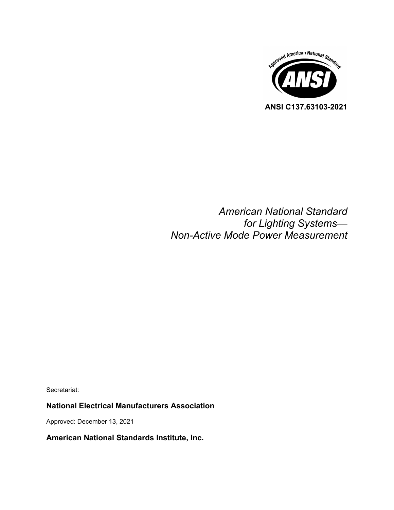

# *American National Standard for Lighting Systems— Non-Active Mode Power Measurement*

Secretariat:

### **National Electrical Manufacturers Association**

Approved: December 13, 2021

### **American National Standards Institute, Inc.**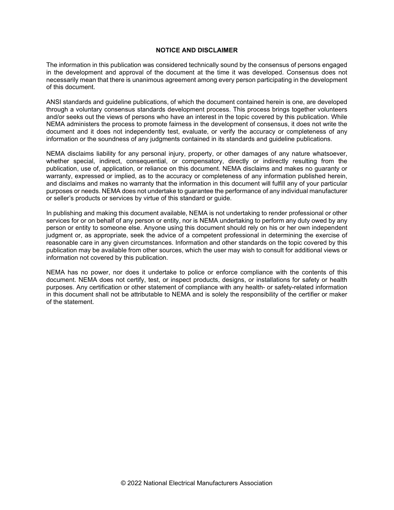#### **NOTICE AND DISCLAIMER**

The information in this publication was considered technically sound by the consensus of persons engaged in the development and approval of the document at the time it was developed. Consensus does not necessarily mean that there is unanimous agreement among every person participating in the development of this document.

ANSI standards and guideline publications, of which the document contained herein is one, are developed through a voluntary consensus standards development process. This process brings together volunteers and/or seeks out the views of persons who have an interest in the topic covered by this publication. While NEMA administers the process to promote fairness in the development of consensus, it does not write the document and it does not independently test, evaluate, or verify the accuracy or completeness of any information or the soundness of any judgments contained in its standards and guideline publications.

NEMA disclaims liability for any personal injury, property, or other damages of any nature whatsoever, whether special, indirect, consequential, or compensatory, directly or indirectly resulting from the publication, use of, application, or reliance on this document. NEMA disclaims and makes no guaranty or warranty, expressed or implied, as to the accuracy or completeness of any information published herein, and disclaims and makes no warranty that the information in this document will fulfill any of your particular purposes or needs. NEMA does not undertake to guarantee the performance of any individual manufacturer or seller's products or services by virtue of this standard or guide.

In publishing and making this document available, NEMA is not undertaking to render professional or other services for or on behalf of any person or entity, nor is NEMA undertaking to perform any duty owed by any person or entity to someone else. Anyone using this document should rely on his or her own independent judgment or, as appropriate, seek the advice of a competent professional in determining the exercise of reasonable care in any given circumstances. Information and other standards on the topic covered by this publication may be available from other sources, which the user may wish to consult for additional views or information not covered by this publication.

NEMA has no power, nor does it undertake to police or enforce compliance with the contents of this document. NEMA does not certify, test, or inspect products, designs, or installations for safety or health purposes. Any certification or other statement of compliance with any health- or safety-related information in this document shall not be attributable to NEMA and is solely the responsibility of the certifier or maker of the statement.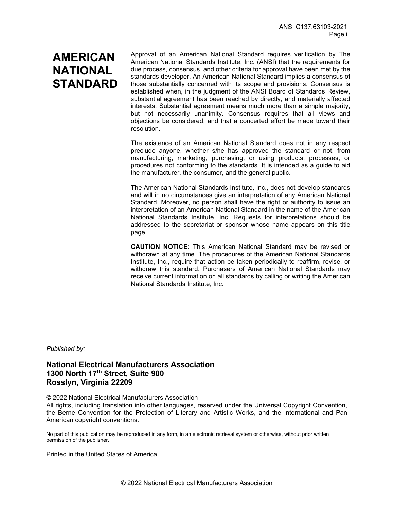# **AMERICAN NATIONAL STANDARD**

Approval of an American National Standard requires verification by The American National Standards Institute, Inc. (ANSI) that the requirements for due process, consensus, and other criteria for approval have been met by the standards developer. An American National Standard implies a consensus of those substantially concerned with its scope and provisions. Consensus is established when, in the judgment of the ANSI Board of Standards Review, substantial agreement has been reached by directly, and materially affected interests. Substantial agreement means much more than a simple majority, but not necessarily unanimity. Consensus requires that all views and objections be considered, and that a concerted effort be made toward their resolution.

The existence of an American National Standard does not in any respect preclude anyone, whether s/he has approved the standard or not, from manufacturing, marketing, purchasing, or using products, processes, or procedures not conforming to the standards. It is intended as a guide to aid the manufacturer, the consumer, and the general public.

The American National Standards Institute, Inc., does not develop standards and will in no circumstances give an interpretation of any American National Standard. Moreover, no person shall have the right or authority to issue an interpretation of an American National Standard in the name of the American National Standards Institute, Inc. Requests for interpretations should be addressed to the secretariat or sponsor whose name appears on this title page.

**CAUTION NOTICE:** This American National Standard may be revised or withdrawn at any time. The procedures of the American National Standards Institute, Inc., require that action be taken periodically to reaffirm, revise, or withdraw this standard. Purchasers of American National Standards may receive current information on all standards by calling or writing the American National Standards Institute, Inc.

*Published by:*

**National Electrical Manufacturers Association 1300 North 17th Street, Suite 900 Rosslyn, Virginia 22209**

© 2022 National Electrical Manufacturers Association

All rights, including translation into other languages, reserved under the Universal Copyright Convention, the Berne Convention for the Protection of Literary and Artistic Works, and the International and Pan American copyright conventions.

No part of this publication may be reproduced in any form, in an electronic retrieval system or otherwise, without prior written permission of the publisher.

Printed in the United States of America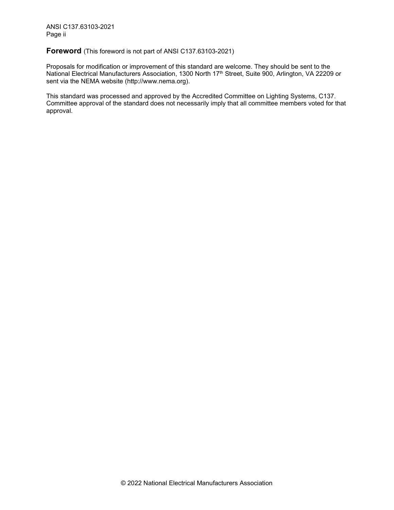<span id="page-3-0"></span>**Foreword** (This foreword is not part of ANSI C137.63103-2021)

Proposals for modification or improvement of this standard are welcome. They should be sent to the National Electrical Manufacturers Association, 1300 North 17<sup>th</sup> Street, Suite 900, Arlington, VA 22209 or sent via the NEMA website [\(http://www.nema.org\)](http://www.nema.org/).

This standard was processed and approved by the Accredited Committee on Lighting Systems, C137. Committee approval of the standard does not necessarily imply that all committee members voted for that approval.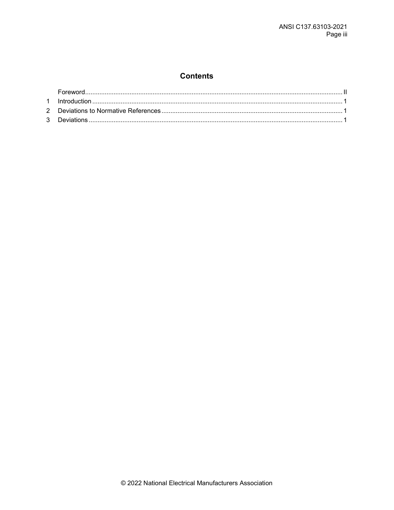# **Contents**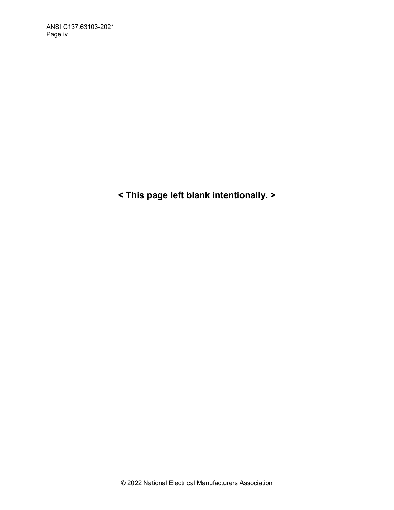**< This page left blank intentionally. >**